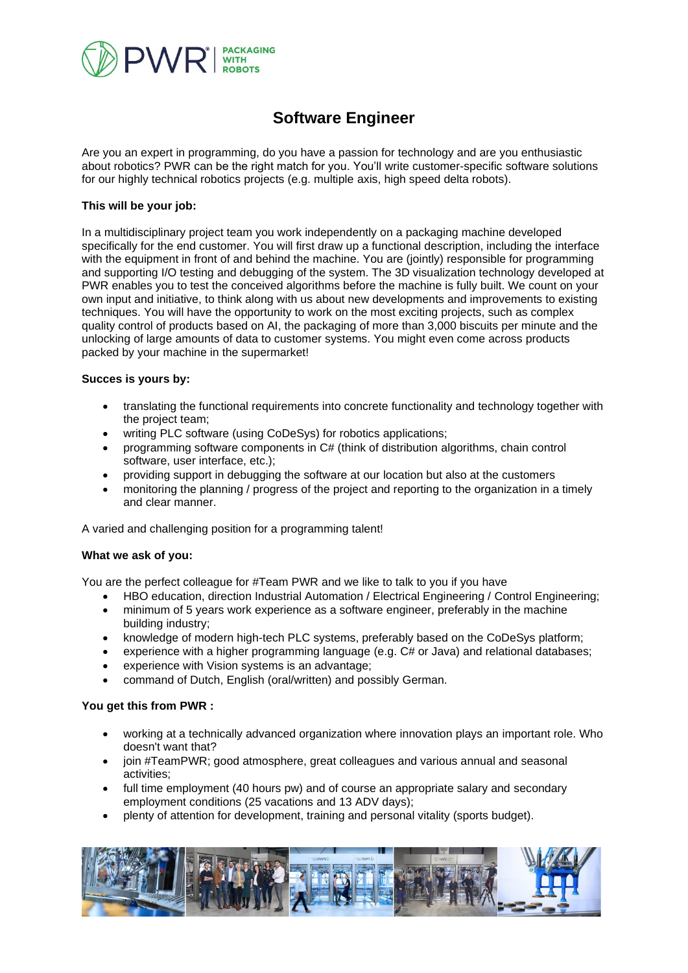

# **Software Engineer**

Are you an expert in programming, do you have a passion for technology and are you enthusiastic about robotics? PWR can be the right match for you. You'll write customer-specific software solutions for our highly technical robotics projects (e.g. multiple axis, high speed delta robots).

## **This will be your job:**

In a multidisciplinary project team you work independently on a packaging machine developed specifically for the end customer. You will first draw up a functional description, including the interface with the equipment in front of and behind the machine. You are (jointly) responsible for programming and supporting I/O testing and debugging of the system. The 3D visualization technology developed at PWR enables you to test the conceived algorithms before the machine is fully built. We count on your own input and initiative, to think along with us about new developments and improvements to existing techniques. You will have the opportunity to work on the most exciting projects, such as complex quality control of products based on AI, the packaging of more than 3,000 biscuits per minute and the unlocking of large amounts of data to customer systems. You might even come across products packed by your machine in the supermarket!

# **Succes is yours by:**

- translating the functional requirements into concrete functionality and technology together with the project team;
- writing PLC software (using CoDeSys) for robotics applications;
- programming software components in C# (think of distribution algorithms, chain control software, user interface, etc.);
- providing support in debugging the software at our location but also at the customers
- monitoring the planning / progress of the project and reporting to the organization in a timely and clear manner.

A varied and challenging position for a programming talent!

#### **What we ask of you:**

You are the perfect colleague for #Team PWR and we like to talk to you if you have

- HBO education, direction Industrial Automation / Electrical Engineering / Control Engineering;
- minimum of 5 years work experience as a software engineer, preferably in the machine building industry;
- knowledge of modern high-tech PLC systems, preferably based on the CoDeSys platform;
- experience with a higher programming language (e.g. C# or Java) and relational databases;
- experience with Vision systems is an advantage;
- command of Dutch, English (oral/written) and possibly German.

#### **You get this from PWR :**

- working at a technically advanced organization where innovation plays an important role. Who doesn't want that?
- join #TeamPWR; good atmosphere, great colleagues and various annual and seasonal activities;
- full time employment (40 hours pw) and of course an appropriate salary and secondary employment conditions (25 vacations and 13 ADV days);
- plenty of attention for development, training and personal vitality (sports budget).